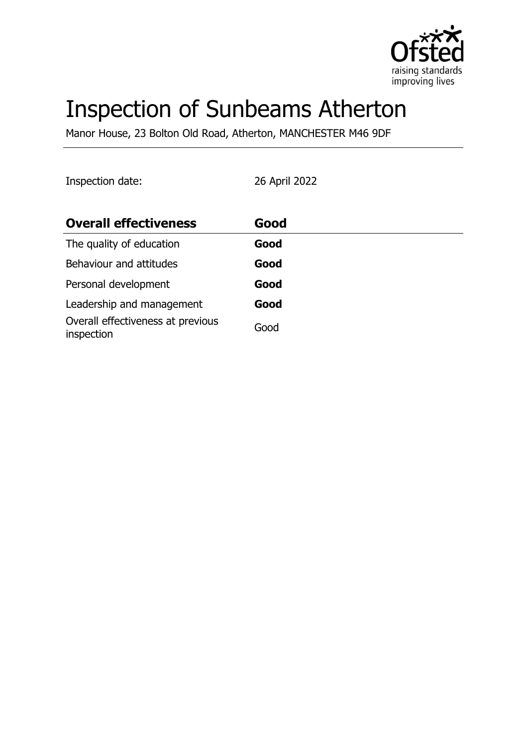

# Inspection of Sunbeams Atherton

Manor House, 23 Bolton Old Road, Atherton, MANCHESTER M46 9DF

Inspection date: 26 April 2022

| <b>Overall effectiveness</b>                    | Good |
|-------------------------------------------------|------|
| The quality of education                        | Good |
| Behaviour and attitudes                         | Good |
| Personal development                            | Good |
| Leadership and management                       | Good |
| Overall effectiveness at previous<br>inspection | Good |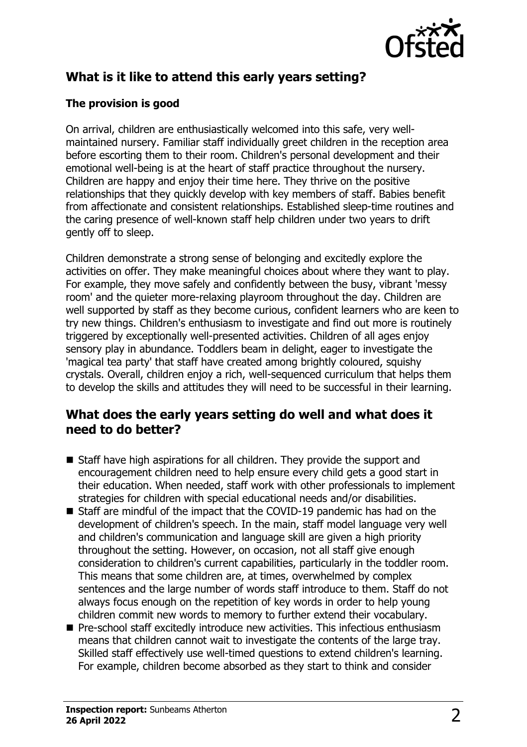

# **What is it like to attend this early years setting?**

#### **The provision is good**

On arrival, children are enthusiastically welcomed into this safe, very wellmaintained nursery. Familiar staff individually greet children in the reception area before escorting them to their room. Children's personal development and their emotional well-being is at the heart of staff practice throughout the nursery. Children are happy and enjoy their time here. They thrive on the positive relationships that they quickly develop with key members of staff. Babies benefit from affectionate and consistent relationships. Established sleep-time routines and the caring presence of well-known staff help children under two years to drift gently off to sleep.

Children demonstrate a strong sense of belonging and excitedly explore the activities on offer. They make meaningful choices about where they want to play. For example, they move safely and confidently between the busy, vibrant 'messy room' and the quieter more-relaxing playroom throughout the day. Children are well supported by staff as they become curious, confident learners who are keen to try new things. Children's enthusiasm to investigate and find out more is routinely triggered by exceptionally well-presented activities. Children of all ages enjoy sensory play in abundance. Toddlers beam in delight, eager to investigate the 'magical tea party' that staff have created among brightly coloured, squishy crystals. Overall, children enjoy a rich, well-sequenced curriculum that helps them to develop the skills and attitudes they will need to be successful in their learning.

### **What does the early years setting do well and what does it need to do better?**

- $\blacksquare$  Staff have high aspirations for all children. They provide the support and encouragement children need to help ensure every child gets a good start in their education. When needed, staff work with other professionals to implement strategies for children with special educational needs and/or disabilities.
- Staff are mindful of the impact that the COVID-19 pandemic has had on the development of children's speech. In the main, staff model language very well and children's communication and language skill are given a high priority throughout the setting. However, on occasion, not all staff give enough consideration to children's current capabilities, particularly in the toddler room. This means that some children are, at times, overwhelmed by complex sentences and the large number of words staff introduce to them. Staff do not always focus enough on the repetition of key words in order to help young children commit new words to memory to further extend their vocabulary.
- $\blacksquare$  Pre-school staff excitedly introduce new activities. This infectious enthusiasm means that children cannot wait to investigate the contents of the large tray. Skilled staff effectively use well-timed questions to extend children's learning. For example, children become absorbed as they start to think and consider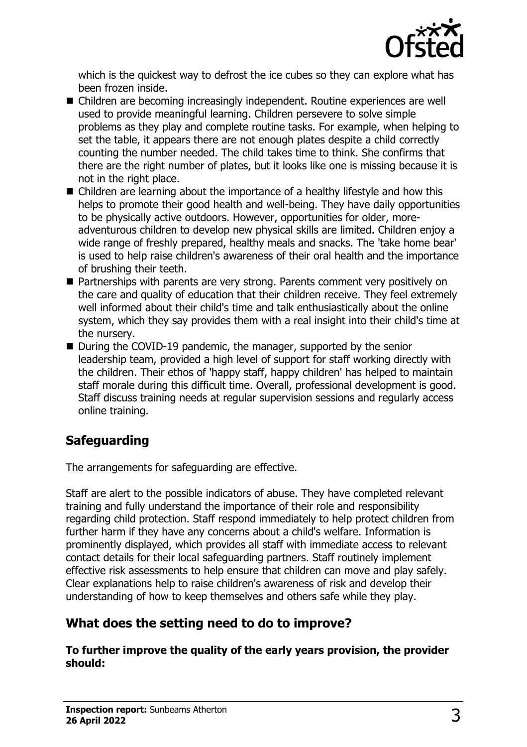

which is the quickest way to defrost the ice cubes so they can explore what has been frozen inside.

- Children are becoming increasingly independent. Routine experiences are well used to provide meaningful learning. Children persevere to solve simple problems as they play and complete routine tasks. For example, when helping to set the table, it appears there are not enough plates despite a child correctly counting the number needed. The child takes time to think. She confirms that there are the right number of plates, but it looks like one is missing because it is not in the right place.
- $\blacksquare$  Children are learning about the importance of a healthy lifestyle and how this helps to promote their good health and well-being. They have daily opportunities to be physically active outdoors. However, opportunities for older, moreadventurous children to develop new physical skills are limited. Children enjoy a wide range of freshly prepared, healthy meals and snacks. The 'take home bear' is used to help raise children's awareness of their oral health and the importance of brushing their teeth.
- Partnerships with parents are very strong. Parents comment very positively on the care and quality of education that their children receive. They feel extremely well informed about their child's time and talk enthusiastically about the online system, which they say provides them with a real insight into their child's time at the nursery.
- $\blacksquare$  During the COVID-19 pandemic, the manager, supported by the senior leadership team, provided a high level of support for staff working directly with the children. Their ethos of 'happy staff, happy children' has helped to maintain staff morale during this difficult time. Overall, professional development is good. Staff discuss training needs at regular supervision sessions and regularly access online training.

# **Safeguarding**

The arrangements for safeguarding are effective.

Staff are alert to the possible indicators of abuse. They have completed relevant training and fully understand the importance of their role and responsibility regarding child protection. Staff respond immediately to help protect children from further harm if they have any concerns about a child's welfare. Information is prominently displayed, which provides all staff with immediate access to relevant contact details for their local safeguarding partners. Staff routinely implement effective risk assessments to help ensure that children can move and play safely. Clear explanations help to raise children's awareness of risk and develop their understanding of how to keep themselves and others safe while they play.

# **What does the setting need to do to improve?**

**To further improve the quality of the early years provision, the provider should:**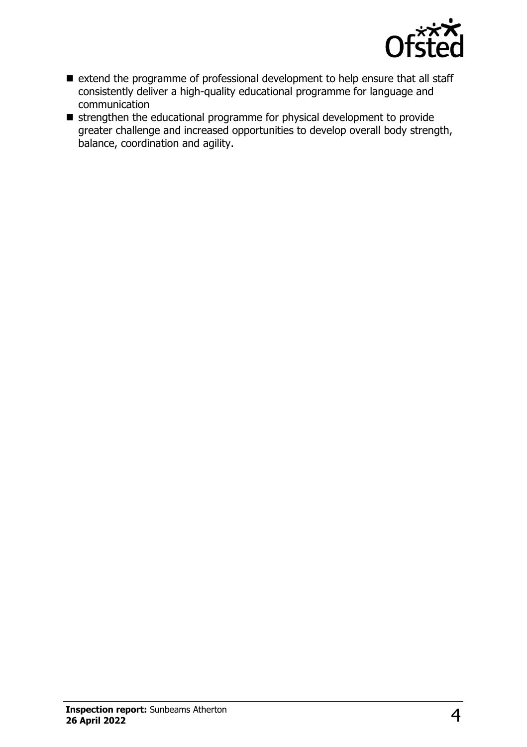

- extend the programme of professional development to help ensure that all staff consistently deliver a high-quality educational programme for language and communication
- $\blacksquare$  strengthen the educational programme for physical development to provide greater challenge and increased opportunities to develop overall body strength, balance, coordination and agility.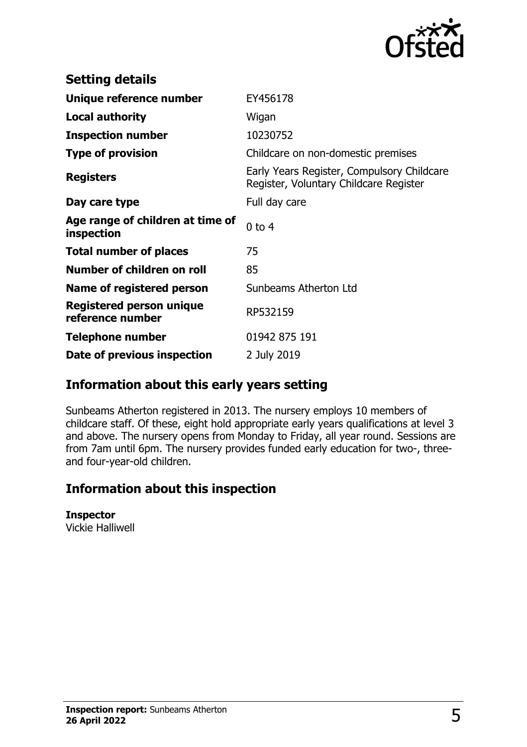

| <b>Setting details</b>                              |                                                                                      |
|-----------------------------------------------------|--------------------------------------------------------------------------------------|
| Unique reference number                             | EY456178                                                                             |
| <b>Local authority</b>                              | Wigan                                                                                |
| <b>Inspection number</b>                            | 10230752                                                                             |
| <b>Type of provision</b>                            | Childcare on non-domestic premises                                                   |
| <b>Registers</b>                                    | Early Years Register, Compulsory Childcare<br>Register, Voluntary Childcare Register |
| Day care type                                       | Full day care                                                                        |
| Age range of children at time of<br>inspection      | $0$ to $4$                                                                           |
| <b>Total number of places</b>                       | 75                                                                                   |
| Number of children on roll                          | 85                                                                                   |
| Name of registered person                           | Sunbeams Atherton Ltd                                                                |
| <b>Registered person unique</b><br>reference number | RP532159                                                                             |
| <b>Telephone number</b>                             | 01942 875 191                                                                        |
| Date of previous inspection                         | 2 July 2019                                                                          |

# **Information about this early years setting**

Sunbeams Atherton registered in 2013. The nursery employs 10 members of childcare staff. Of these, eight hold appropriate early years qualifications at level 3 and above. The nursery opens from Monday to Friday, all year round. Sessions are from 7am until 6pm. The nursery provides funded early education for two-, threeand four-year-old children.

# **Information about this inspection**

#### **Inspector**

Vickie Halliwell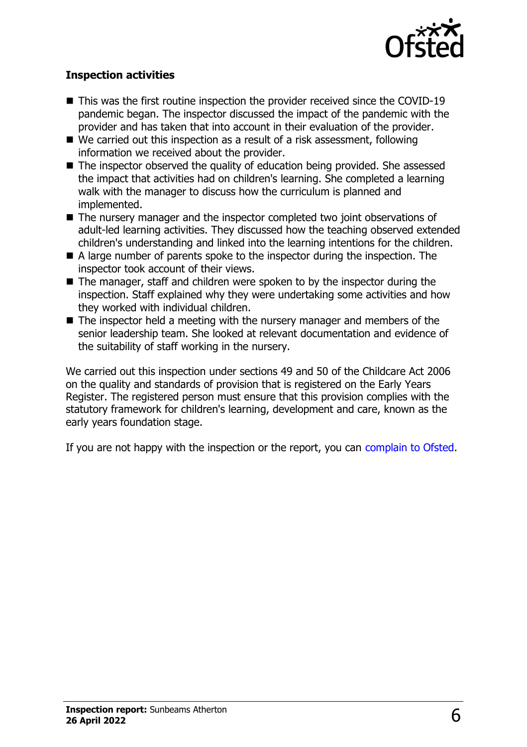

#### **Inspection activities**

- $\blacksquare$  This was the first routine inspection the provider received since the COVID-19 pandemic began. The inspector discussed the impact of the pandemic with the provider and has taken that into account in their evaluation of the provider.
- $\blacksquare$  We carried out this inspection as a result of a risk assessment, following information we received about the provider.
- $\blacksquare$  The inspector observed the quality of education being provided. She assessed the impact that activities had on children's learning. She completed a learning walk with the manager to discuss how the curriculum is planned and implemented.
- The nursery manager and the inspector completed two joint observations of adult-led learning activities. They discussed how the teaching observed extended children's understanding and linked into the learning intentions for the children.
- $\blacksquare$  A large number of parents spoke to the inspector during the inspection. The inspector took account of their views.
- $\blacksquare$  The manager, staff and children were spoken to by the inspector during the inspection. Staff explained why they were undertaking some activities and how they worked with individual children.
- $\blacksquare$  The inspector held a meeting with the nursery manager and members of the senior leadership team. She looked at relevant documentation and evidence of the suitability of staff working in the nursery.

We carried out this inspection under sections 49 and 50 of the Childcare Act 2006 on the quality and standards of provision that is registered on the Early Years Register. The registered person must ensure that this provision complies with the statutory framework for children's learning, development and care, known as the early years foundation stage.

If you are not happy with the inspection or the report, you can [complain to Ofsted](http://www.gov.uk/complain-ofsted-report).